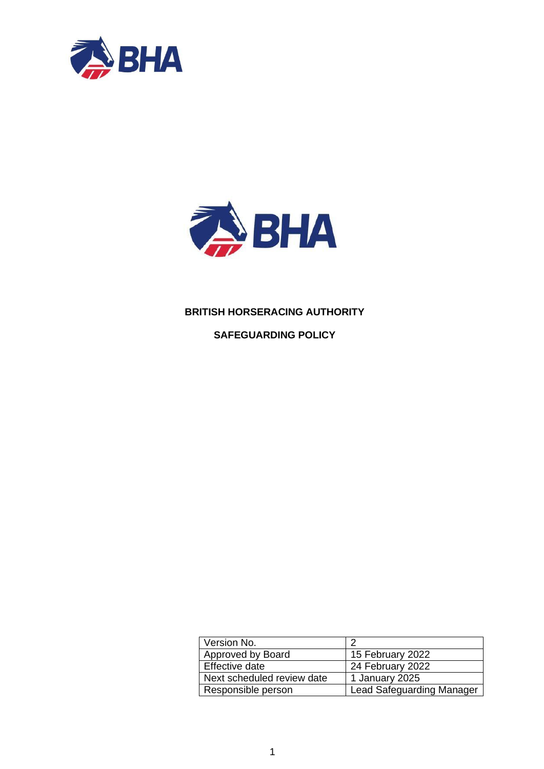



# **BRITISH HORSERACING AUTHORITY**

**SAFEGUARDING POLICY**

| Version No.                |                                  |
|----------------------------|----------------------------------|
| Approved by Board          | 15 February 2022                 |
| Effective date             | 24 February 2022                 |
| Next scheduled review date | 1 January 2025                   |
| Responsible person         | <b>Lead Safeguarding Manager</b> |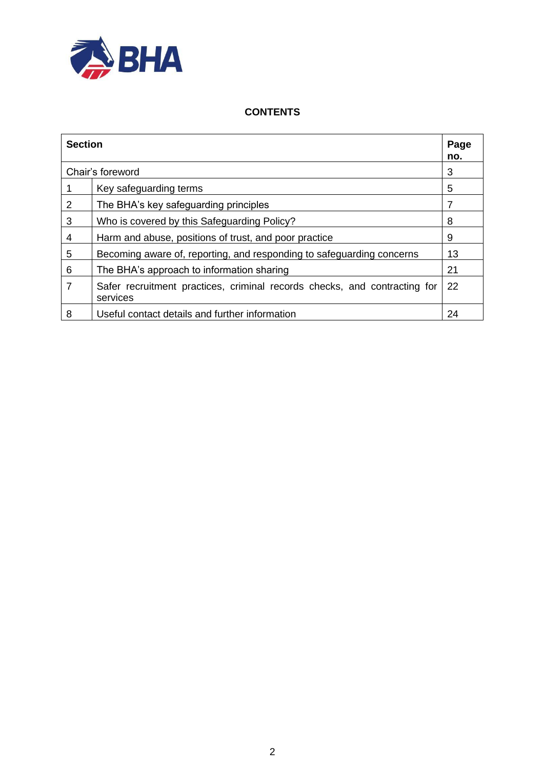

## **CONTENTS**

| <b>Section</b> |                                                                                       | Page<br>no. |
|----------------|---------------------------------------------------------------------------------------|-------------|
|                | Chair's foreword                                                                      | 3           |
|                | Key safeguarding terms                                                                | 5           |
| 2              | The BHA's key safeguarding principles                                                 | 7           |
| 3              | Who is covered by this Safeguarding Policy?                                           | 8           |
| $\overline{4}$ | Harm and abuse, positions of trust, and poor practice                                 | 9           |
| 5              | Becoming aware of, reporting, and responding to safeguarding concerns                 | 13          |
| 6              | The BHA's approach to information sharing                                             | 21          |
| 7              | Safer recruitment practices, criminal records checks, and contracting for<br>services | 22          |
| 8              | Useful contact details and further information                                        | 24          |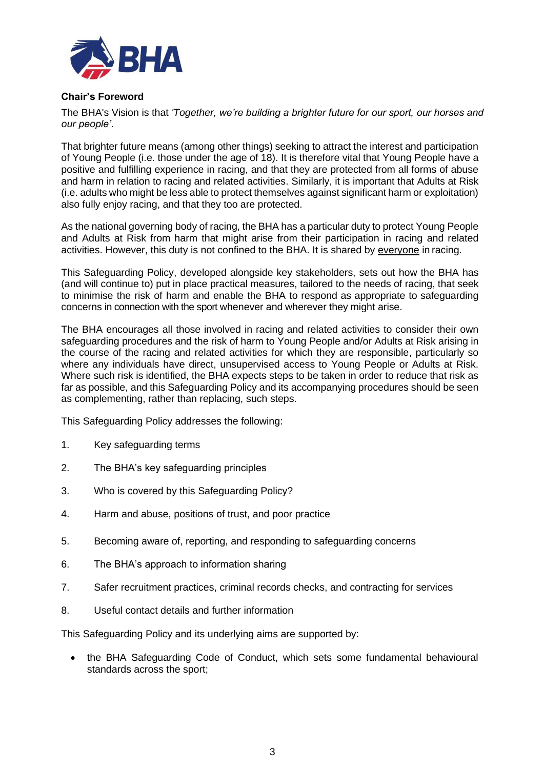

## **Chair's Foreword**

The BHA's Vision is that *'Together, we're building a brighter future for our sport, our horses and our people'*.

That brighter future means (among other things) seeking to attract the interest and participation of Young People (i.e. those under the age of 18). It is therefore vital that Young People have a positive and fulfilling experience in racing, and that they are protected from all forms of abuse and harm in relation to racing and related activities. Similarly, it is important that Adults at Risk (i.e. adults who might be less able to protect themselves against significant harm or exploitation) also fully enjoy racing, and that they too are protected.

As the national governing body of racing, the BHA has a particular duty to protect Young People and Adults at Risk from harm that might arise from their participation in racing and related activities. However, this duty is not confined to the BHA. It is shared by everyone in racing.

This Safeguarding Policy, developed alongside key stakeholders, sets out how the BHA has (and will continue to) put in place practical measures, tailored to the needs of racing, that seek to minimise the risk of harm and enable the BHA to respond as appropriate to safeguarding concerns in connection with the sport whenever and wherever they might arise.

The BHA encourages all those involved in racing and related activities to consider their own safeguarding procedures and the risk of harm to Young People and/or Adults at Risk arising in the course of the racing and related activities for which they are responsible, particularly so where any individuals have direct, unsupervised access to Young People or Adults at Risk. Where such risk is identified, the BHA expects steps to be taken in order to reduce that risk as far as possible, and this Safeguarding Policy and its accompanying procedures should be seen as complementing, rather than replacing, such steps.

This Safeguarding Policy addresses the following:

- 1. Key safeguarding terms
- 2. The BHA's key safeguarding principles
- 3. Who is covered by this Safeguarding Policy?
- 4. Harm and abuse, positions of trust, and poor practice
- 5. Becoming aware of, reporting, and responding to safeguarding concerns
- 6. The BHA's approach to information sharing
- 7. Safer recruitment practices, criminal records checks, and contracting for services
- 8. Useful contact details and further information

This Safeguarding Policy and its underlying aims are supported by:

• the BHA Safeguarding Code of Conduct, which sets some fundamental behavioural standards across the sport;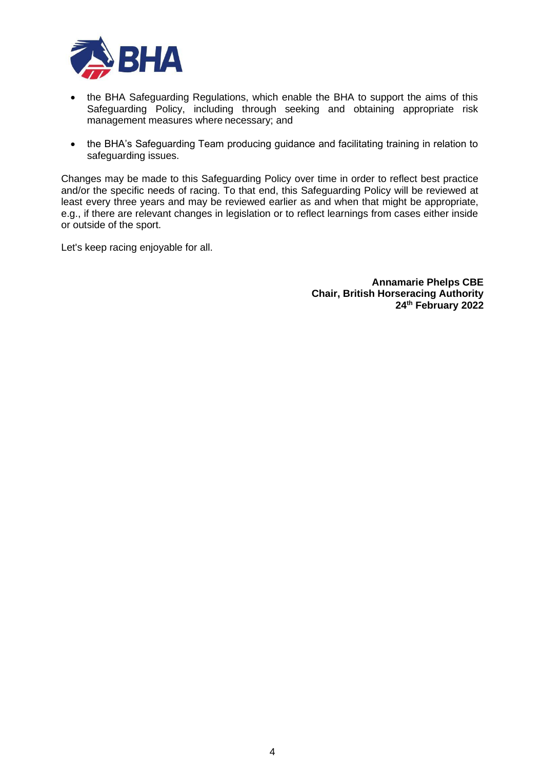

- the BHA Safeguarding Regulations, which enable the BHA to support the aims of this Safeguarding Policy, including through seeking and obtaining appropriate risk management measures where necessary; and
- the BHA's Safeguarding Team producing guidance and facilitating training in relation to safeguarding issues.

Changes may be made to this Safeguarding Policy over time in order to reflect best practice and/or the specific needs of racing. To that end, this Safeguarding Policy will be reviewed at least every three years and may be reviewed earlier as and when that might be appropriate, e.g., if there are relevant changes in legislation or to reflect learnings from cases either inside or outside of the sport.

Let's keep racing enjoyable for all.

**Annamarie Phelps CBE Chair, British Horseracing Authority 24th February 2022**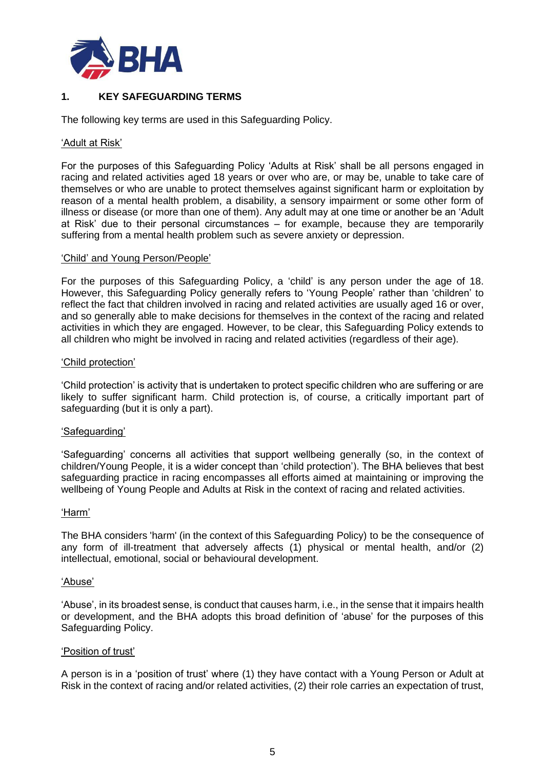

# **1. KEY SAFEGUARDING TERMS**

The following key terms are used in this Safeguarding Policy.

#### 'Adult at Risk'

For the purposes of this Safeguarding Policy 'Adults at Risk' shall be all persons engaged in racing and related activities aged 18 years or over who are, or may be, unable to take care of themselves or who are unable to protect themselves against significant harm or exploitation by reason of a mental health problem, a disability, a sensory impairment or some other form of illness or disease (or more than one of them). Any adult may at one time or another be an 'Adult at Risk' due to their personal circumstances – for example, because they are temporarily suffering from a mental health problem such as severe anxiety or depression.

#### 'Child' and Young Person/People'

For the purposes of this Safeguarding Policy, a 'child' is any person under the age of 18. However, this Safeguarding Policy generally refers to 'Young People' rather than 'children' to reflect the fact that children involved in racing and related activities are usually aged 16 or over, and so generally able to make decisions for themselves in the context of the racing and related activities in which they are engaged. However, to be clear, this Safeguarding Policy extends to all children who might be involved in racing and related activities (regardless of their age).

### 'Child protection'

'Child protection' is activity that is undertaken to protect specific children who are suffering or are likely to suffer significant harm. Child protection is, of course, a critically important part of safeguarding (but it is only a part).

### 'Safeguarding'

'Safeguarding' concerns all activities that support wellbeing generally (so, in the context of children/Young People, it is a wider concept than 'child protection'). The BHA believes that best safeguarding practice in racing encompasses all efforts aimed at maintaining or improving the wellbeing of Young People and Adults at Risk in the context of racing and related activities.

#### 'Harm'

The BHA considers 'harm' (in the context of this Safeguarding Policy) to be the consequence of any form of ill-treatment that adversely affects  $(1)$  physical or mental health, and/or  $(2)$ intellectual, emotional, social or behavioural development.

#### 'Abuse'

'Abuse', in its broadest sense, is conduct that causes harm, i.e., in the sense that it impairs health or development, and the BHA adopts this broad definition of 'abuse' for the purposes of this Safeguarding Policy.

#### 'Position of trust'

A person is in a 'position of trust' where (1) they have contact with a Young Person or Adult at Risk in the context of racing and/or related activities, (2) their role carries an expectation of trust,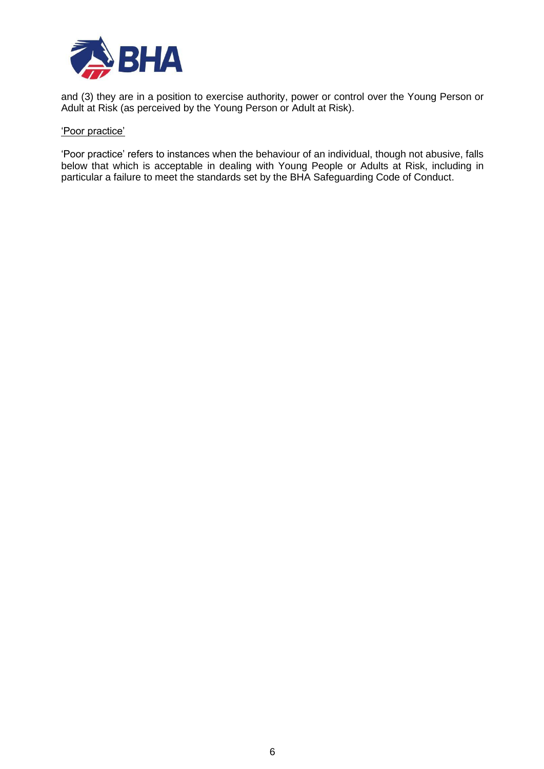

and (3) they are in a position to exercise authority, power or control over the Young Person or Adult at Risk (as perceived by the Young Person or Adult at Risk).

#### 'Poor practice'

'Poor practice' refers to instances when the behaviour of an individual, though not abusive, falls below that which is acceptable in dealing with Young People or Adults at Risk, including in particular a failure to meet the standards set by the BHA Safeguarding Code of Conduct.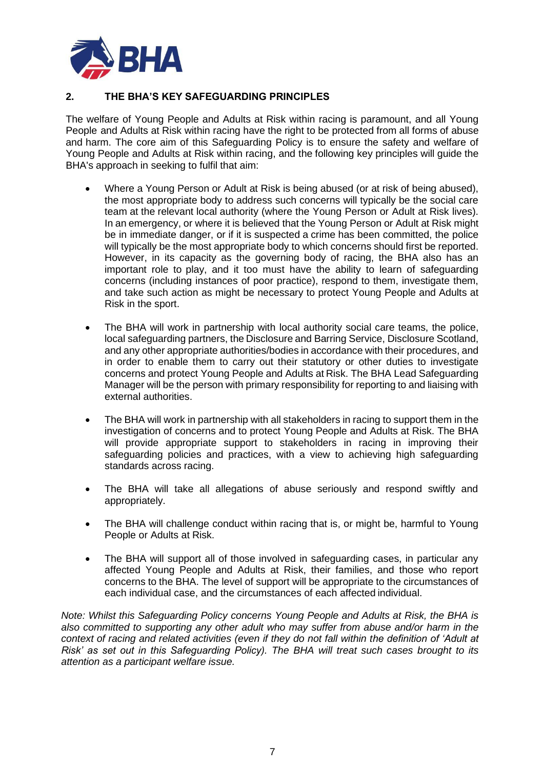

# **2. THE BHA'S KEY SAFEGUARDING PRINCIPLES**

The welfare of Young People and Adults at Risk within racing is paramount, and all Young People and Adults at Risk within racing have the right to be protected from all forms of abuse and harm. The core aim of this Safeguarding Policy is to ensure the safety and welfare of Young People and Adults at Risk within racing, and the following key principles will guide the BHA's approach in seeking to fulfil that aim:

- Where a Young Person or Adult at Risk is being abused (or at risk of being abused), the most appropriate body to address such concerns will typically be the social care team at the relevant local authority (where the Young Person or Adult at Risk lives). In an emergency, or where it is believed that the Young Person or Adult at Risk might be in immediate danger, or if it is suspected a crime has been committed, the police will typically be the most appropriate body to which concerns should first be reported. However, in its capacity as the governing body of racing, the BHA also has an important role to play, and it too must have the ability to learn of safeguarding concerns (including instances of poor practice), respond to them, investigate them, and take such action as might be necessary to protect Young People and Adults at Risk in the sport.
- The BHA will work in partnership with local authority social care teams, the police, local safeguarding partners, the Disclosure and Barring Service, Disclosure Scotland, and any other appropriate authorities/bodies in accordance with their procedures, and in order to enable them to carry out their statutory or other duties to investigate concerns and protect Young People and Adults at Risk. The BHA Lead Safeguarding Manager will be the person with primary responsibility for reporting to and liaising with external authorities.
- The BHA will work in partnership with all stakeholders in racing to support them in the investigation of concerns and to protect Young People and Adults at Risk. The BHA will provide appropriate support to stakeholders in racing in improving their safeguarding policies and practices, with a view to achieving high safeguarding standards across racing.
- The BHA will take all allegations of abuse seriously and respond swiftly and appropriately.
- The BHA will challenge conduct within racing that is, or might be, harmful to Young People or Adults at Risk.
- The BHA will support all of those involved in safeguarding cases, in particular any affected Young People and Adults at Risk, their families, and those who report concerns to the BHA. The level of support will be appropriate to the circumstances of each individual case, and the circumstances of each affected individual.

*Note: Whilst this Safeguarding Policy concerns Young People and Adults at Risk, the BHA is also committed to supporting any other adult who may suffer from abuse and/or harm in the context of racing and related activities (even if they do not fall within the definition of 'Adult at Risk' as set out in this Safeguarding Policy). The BHA will treat such cases brought to its attention as a participant welfare issue.*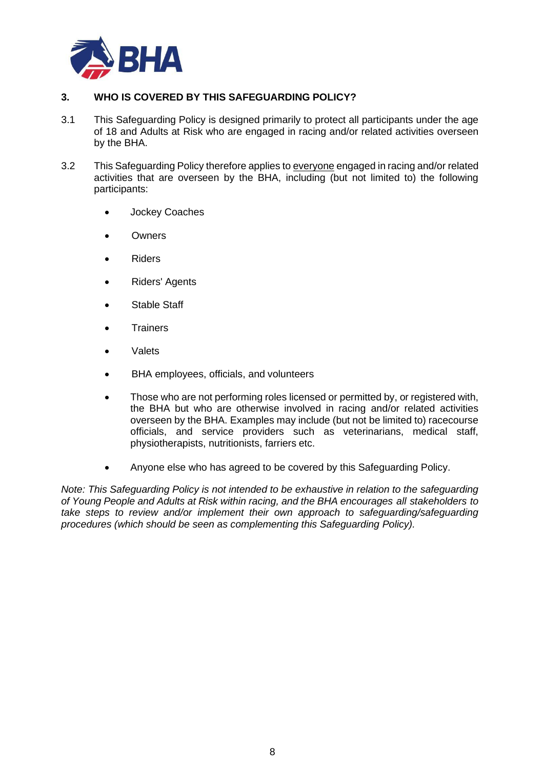

# **3. WHO IS COVERED BY THIS SAFEGUARDING POLICY?**

- 3.1 This Safeguarding Policy is designed primarily to protect all participants under the age of 18 and Adults at Risk who are engaged in racing and/or related activities overseen by the BHA.
- 3.2 This Safeguarding Policy therefore applies to everyone engaged in racing and/or related activities that are overseen by the BHA, including (but not limited to) the following participants:
	- Jockey Coaches
	- **Owners**
	- Riders
	- Riders' Agents
	- Stable Staff
	- **Trainers**
	- Valets
	- BHA employees, officials, and volunteers
	- Those who are not performing roles licensed or permitted by, or registered with, the BHA but who are otherwise involved in racing and/or related activities overseen by the BHA. Examples may include (but not be limited to) racecourse officials, and service providers such as veterinarians, medical staff, physiotherapists, nutritionists, farriers etc.
	- Anyone else who has agreed to be covered by this Safeguarding Policy.

*Note: This Safeguarding Policy is not intended to be exhaustive in relation to the safeguarding of Young People and Adults at Risk within racing, and the BHA encourages all stakeholders to take steps to review and/or implement their own approach to safeguarding/safeguarding procedures (which should be seen as complementing this Safeguarding Policy).*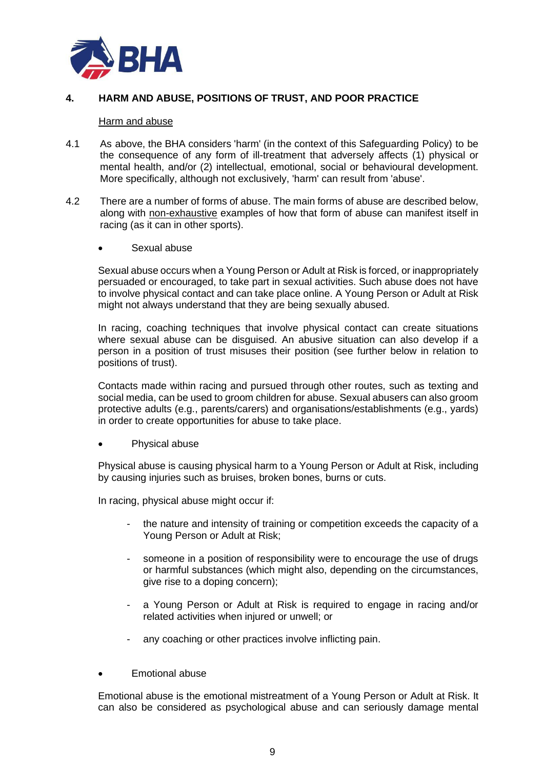

## **4. HARM AND ABUSE, POSITIONS OF TRUST, AND POOR PRACTICE**

### Harm and abuse

- 4.1 As above, the BHA considers 'harm' (in the context of this Safeguarding Policy) to be the consequence of any form of ill-treatment that adversely affects (1) physical or mental health, and/or (2) intellectual, emotional, social or behavioural development. More specifically, although not exclusively, 'harm' can result from 'abuse'.
- 4.2 There are a number of forms of abuse. The main forms of abuse are described below, along with non-exhaustive examples of how that form of abuse can manifest itself in racing (as it can in other sports).
	- Sexual abuse

Sexual abuse occurs when a Young Person or Adult at Risk is forced, or inappropriately persuaded or encouraged, to take part in sexual activities. Such abuse does not have to involve physical contact and can take place online. A Young Person or Adult at Risk might not always understand that they are being sexually abused.

In racing, coaching techniques that involve physical contact can create situations where sexual abuse can be disguised. An abusive situation can also develop if a person in a position of trust misuses their position (see further below in relation to positions of trust).

Contacts made within racing and pursued through other routes, such as texting and social media, can be used to groom children for abuse. Sexual abusers can also groom protective adults (e.g., parents/carers) and organisations/establishments (e.g., yards) in order to create opportunities for abuse to take place.

Physical abuse

Physical abuse is causing physical harm to a Young Person or Adult at Risk, including by causing injuries such as bruises, broken bones, burns or cuts.

In racing, physical abuse might occur if:

- the nature and intensity of training or competition exceeds the capacity of a Young Person or Adult at Risk;
- someone in a position of responsibility were to encourage the use of drugs or harmful substances (which might also, depending on the circumstances, give rise to a doping concern);
- a Young Person or Adult at Risk is required to engage in racing and/or related activities when injured or unwell; or
- any coaching or other practices involve inflicting pain.
- Emotional abuse

Emotional abuse is the emotional mistreatment of a Young Person or Adult at Risk. It can also be considered as psychological abuse and can seriously damage mental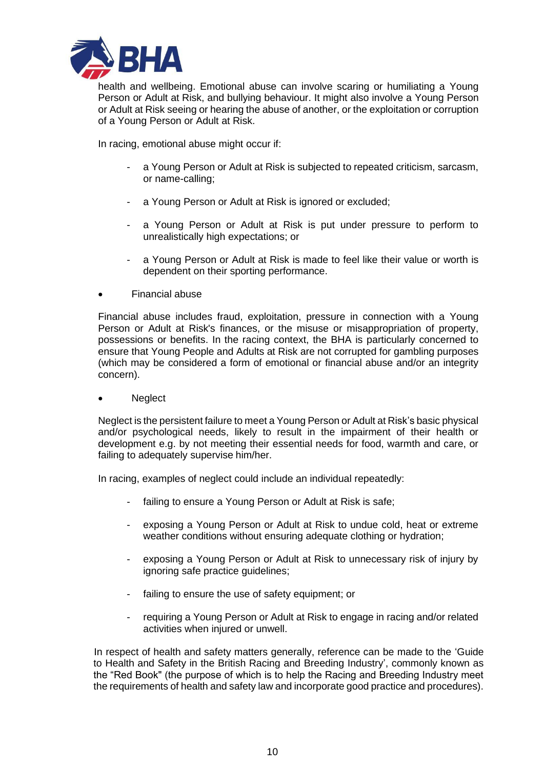

health and wellbeing. Emotional abuse can involve scaring or humiliating a Young Person or Adult at Risk, and bullying behaviour. It might also involve a Young Person or Adult at Risk seeing or hearing the abuse of another, or the exploitation or corruption of a Young Person or Adult at Risk.

In racing, emotional abuse might occur if:

- a Young Person or Adult at Risk is subjected to repeated criticism, sarcasm, or name-calling;
- a Young Person or Adult at Risk is ignored or excluded;
- a Young Person or Adult at Risk is put under pressure to perform to unrealistically high expectations; or
- a Young Person or Adult at Risk is made to feel like their value or worth is dependent on their sporting performance.
- Financial abuse

Financial abuse includes fraud, exploitation, pressure in connection with a Young Person or Adult at Risk's finances, or the misuse or misappropriation of property, possessions or benefits. In the racing context, the BHA is particularly concerned to ensure that Young People and Adults at Risk are not corrupted for gambling purposes (which may be considered a form of emotional or financial abuse and/or an integrity concern).

• Neglect

Neglect is the persistent failure to meet a Young Person or Adult at Risk's basic physical and/or psychological needs, likely to result in the impairment of their health or development e.g. by not meeting their essential needs for food, warmth and care, or failing to adequately supervise him/her.

In racing, examples of neglect could include an individual repeatedly:

- failing to ensure a Young Person or Adult at Risk is safe;
- exposing a Young Person or Adult at Risk to undue cold, heat or extreme weather conditions without ensuring adequate clothing or hydration;
- exposing a Young Person or Adult at Risk to unnecessary risk of injury by ignoring safe practice guidelines;
- failing to ensure the use of safety equipment; or
- requiring a Young Person or Adult at Risk to engage in racing and/or related activities when injured or unwell.

In respect of health and safety matters generally, reference can be made to the 'Guide to Health and Safety in the British Racing and Breeding Industry', commonly known as the "Red Book" (the purpose of which is to help the Racing and Breeding Industry meet the requirements of health and safety law and incorporate good practice and procedures).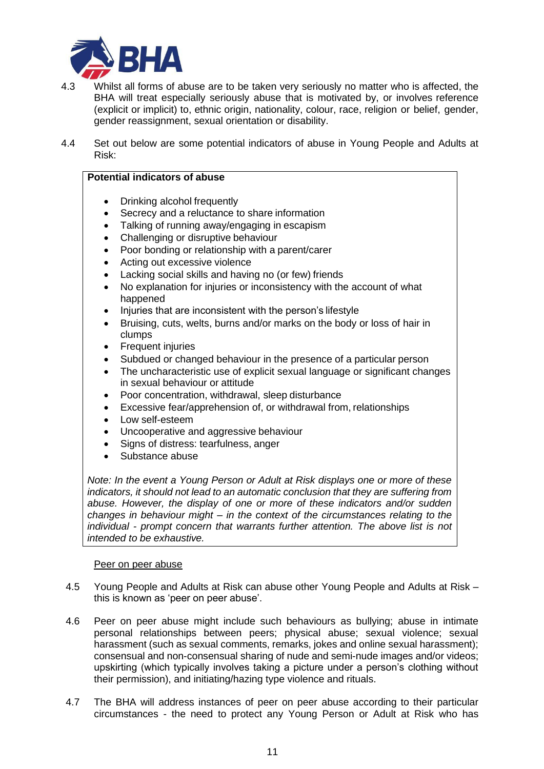

- 4.3 Whilst all forms of abuse are to be taken very seriously no matter who is affected, the BHA will treat especially seriously abuse that is motivated by, or involves reference (explicit or implicit) to, ethnic origin, nationality, colour, race, religion or belief, gender, gender reassignment, sexual orientation or disability.
- 4.4 Set out below are some potential indicators of abuse in Young People and Adults at Risk:

# **Potential indicators of abuse**

- Drinking alcohol frequently
- Secrecy and a reluctance to share information
- Talking of running away/engaging in escapism
- Challenging or disruptive behaviour
- Poor bonding or relationship with a parent/carer
- Acting out excessive violence
- Lacking social skills and having no (or few) friends
- No explanation for injuries or inconsistency with the account of what happened
- Injuries that are inconsistent with the person's lifestyle
- Bruising, cuts, welts, burns and/or marks on the body or loss of hair in clumps
- Frequent injuries
- Subdued or changed behaviour in the presence of a particular person
- The uncharacteristic use of explicit sexual language or significant changes in sexual behaviour or attitude
- Poor concentration, withdrawal, sleep disturbance
- Excessive fear/apprehension of, or withdrawal from, relationships
- Low self-esteem
- Uncooperative and aggressive behaviour
- Signs of distress: tearfulness, anger
- Substance abuse

*Note: In the event a Young Person or Adult at Risk displays one or more of these indicators, it should not lead to an automatic conclusion that they are suffering from abuse. However, the display of one or more of these indicators and/or sudden changes in behaviour might – in the context of the circumstances relating to the individual - prompt concern that warrants further attention. The above list is not intended to be exhaustive.*

#### Peer on peer abuse

- 4.5 Young People and Adults at Risk can abuse other Young People and Adults at Risk this is known as 'peer on peer abuse'.
- 4.6 Peer on peer abuse might include such behaviours as bullying; abuse in intimate personal relationships between peers; physical abuse; sexual violence; sexual harassment (such as sexual comments, remarks, jokes and online sexual harassment); consensual and non-consensual sharing of nude and semi-nude images and/or videos; upskirting (which typically involves taking a picture under a person's clothing without their permission), and initiating/hazing type violence and rituals.
- 4.7 The BHA will address instances of peer on peer abuse according to their particular circumstances - the need to protect any Young Person or Adult at Risk who has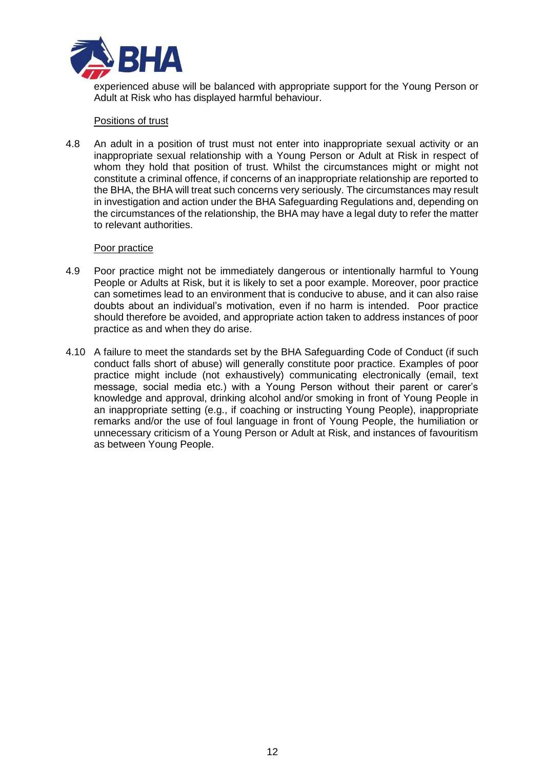

experienced abuse will be balanced with appropriate support for the Young Person or Adult at Risk who has displayed harmful behaviour.

### Positions of trust

4.8 An adult in a position of trust must not enter into inappropriate sexual activity or an inappropriate sexual relationship with a Young Person or Adult at Risk in respect of whom they hold that position of trust. Whilst the circumstances might or might not constitute a criminal offence, if concerns of an inappropriate relationship are reported to the BHA, the BHA will treat such concerns very seriously. The circumstances may result in investigation and action under the BHA Safeguarding Regulations and, depending on the circumstances of the relationship, the BHA may have a legal duty to refer the matter to relevant authorities.

### Poor practice

- 4.9 Poor practice might not be immediately dangerous or intentionally harmful to Young People or Adults at Risk, but it is likely to set a poor example. Moreover, poor practice can sometimes lead to an environment that is conducive to abuse, and it can also raise doubts about an individual's motivation, even if no harm is intended. Poor practice should therefore be avoided, and appropriate action taken to address instances of poor practice as and when they do arise.
- 4.10 A failure to meet the standards set by the BHA Safeguarding Code of Conduct (if such conduct falls short of abuse) will generally constitute poor practice. Examples of poor practice might include (not exhaustively) communicating electronically (email, text message, social media etc.) with a Young Person without their parent or carer's knowledge and approval, drinking alcohol and/or smoking in front of Young People in an inappropriate setting (e.g., if coaching or instructing Young People), inappropriate remarks and/or the use of foul language in front of Young People, the humiliation or unnecessary criticism of a Young Person or Adult at Risk, and instances of favouritism as between Young People.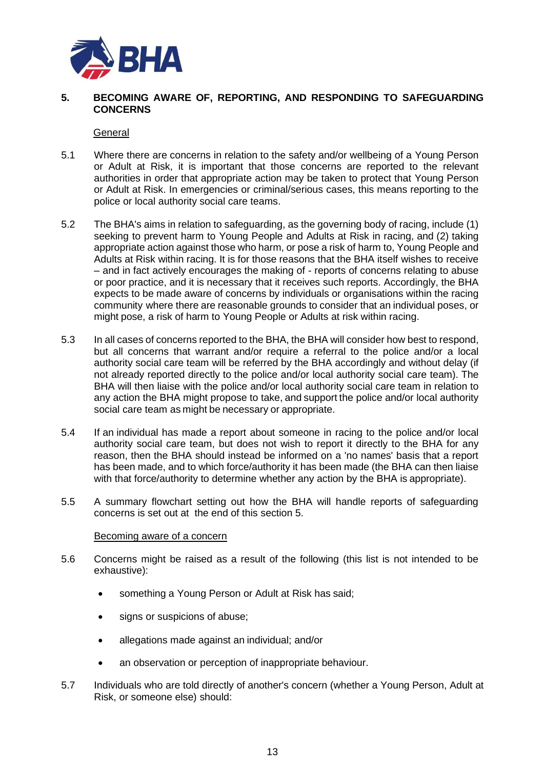

### **5. BECOMING AWARE OF, REPORTING, AND RESPONDING TO SAFEGUARDING CONCERNS**

#### **General**

- 5.1 Where there are concerns in relation to the safety and/or wellbeing of a Young Person or Adult at Risk, it is important that those concerns are reported to the relevant authorities in order that appropriate action may be taken to protect that Young Person or Adult at Risk. In emergencies or criminal/serious cases, this means reporting to the police or local authority social care teams.
- 5.2 The BHA's aims in relation to safeguarding, as the governing body of racing, include (1) seeking to prevent harm to Young People and Adults at Risk in racing, and (2) taking appropriate action against those who harm, or pose a risk of harm to, Young People and Adults at Risk within racing. It is for those reasons that the BHA itself wishes to receive – and in fact actively encourages the making of - reports of concerns relating to abuse or poor practice, and it is necessary that it receives such reports. Accordingly, the BHA expects to be made aware of concerns by individuals or organisations within the racing community where there are reasonable grounds to consider that an individual poses, or might pose, a risk of harm to Young People or Adults at risk within racing.
- 5.3 In all cases of concerns reported to the BHA, the BHA will consider how best to respond, but all concerns that warrant and/or require a referral to the police and/or a local authority social care team will be referred by the BHA accordingly and without delay (if not already reported directly to the police and/or local authority social care team). The BHA will then liaise with the police and/or local authority social care team in relation to any action the BHA might propose to take, and support the police and/or local authority social care team as might be necessary or appropriate.
- 5.4 If an individual has made a report about someone in racing to the police and/or local authority social care team, but does not wish to report it directly to the BHA for any reason, then the BHA should instead be informed on a 'no names' basis that a report has been made, and to which force/authority it has been made (the BHA can then liaise with that force/authority to determine whether any action by the BHA is appropriate).
- 5.5 A summary flowchart setting out how the BHA will handle reports of safeguarding concerns is set out at the end of this section 5.

#### Becoming aware of a concern

- 5.6 Concerns might be raised as a result of the following (this list is not intended to be exhaustive):
	- something a Young Person or Adult at Risk has said;
	- signs or suspicions of abuse;
	- allegations made against an individual; and/or
	- an observation or perception of inappropriate behaviour.
- 5.7 Individuals who are told directly of another's concern (whether a Young Person, Adult at Risk, or someone else) should: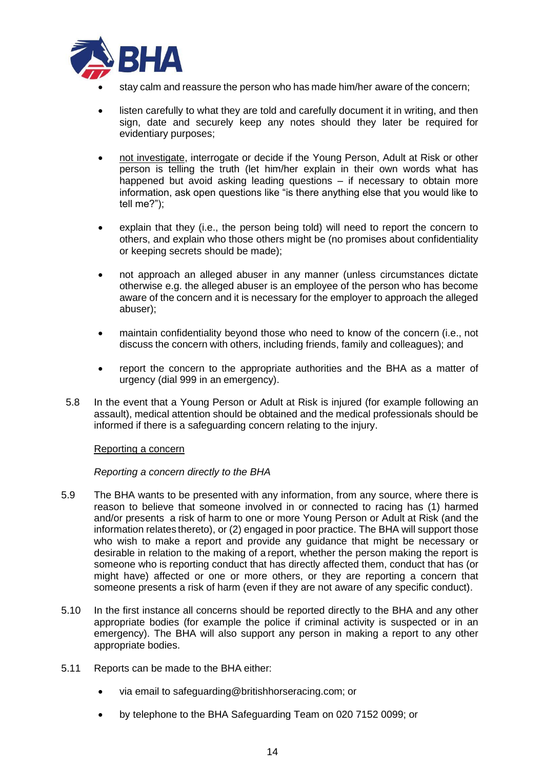

- stay calm and reassure the person who has made him/her aware of the concern;
- listen carefully to what they are told and carefully document it in writing, and then sign, date and securely keep any notes should they later be required for evidentiary purposes;
- not investigate, interrogate or decide if the Young Person, Adult at Risk or other person is telling the truth (let him/her explain in their own words what has happened but avoid asking leading questions – if necessary to obtain more information, ask open questions like "is there anything else that you would like to tell me?");
- explain that they (i.e., the person being told) will need to report the concern to others, and explain who those others might be (no promises about confidentiality or keeping secrets should be made);
- not approach an alleged abuser in any manner (unless circumstances dictate otherwise e.g. the alleged abuser is an employee of the person who has become aware of the concern and it is necessary for the employer to approach the alleged abuser);
- maintain confidentiality beyond those who need to know of the concern (i.e., not discuss the concern with others, including friends, family and colleagues); and
- report the concern to the appropriate authorities and the BHA as a matter of urgency (dial 999 in an emergency).
- 5.8 In the event that a Young Person or Adult at Risk is injured (for example following an assault), medical attention should be obtained and the medical professionals should be informed if there is a safeguarding concern relating to the injury.

#### Reporting a concern

### *Reporting a concern directly to the BHA*

- 5.9 The BHA wants to be presented with any information, from any source, where there is reason to believe that someone involved in or connected to racing has (1) harmed and/or presents a risk of harm to one or more Young Person or Adult at Risk (and the information relates thereto), or (2) engaged in poor practice. The BHA will support those who wish to make a report and provide any guidance that might be necessary or desirable in relation to the making of a report, whether the person making the report is someone who is reporting conduct that has directly affected them, conduct that has (or might have) affected or one or more others, or they are reporting a concern that someone presents a risk of harm (even if they are not aware of any specific conduct).
- 5.10 In the first instance all concerns should be reported directly to the BHA and any other appropriate bodies (for example the police if criminal activity is suspected or in an emergency). The BHA will also support any person in making a report to any other appropriate bodies.
- 5.11 Reports can be made to the BHA either:
	- via email to safeguarding@britishhorseracing.com; or
	- by telephone to the BHA Safeguarding Team on 020 7152 0099; or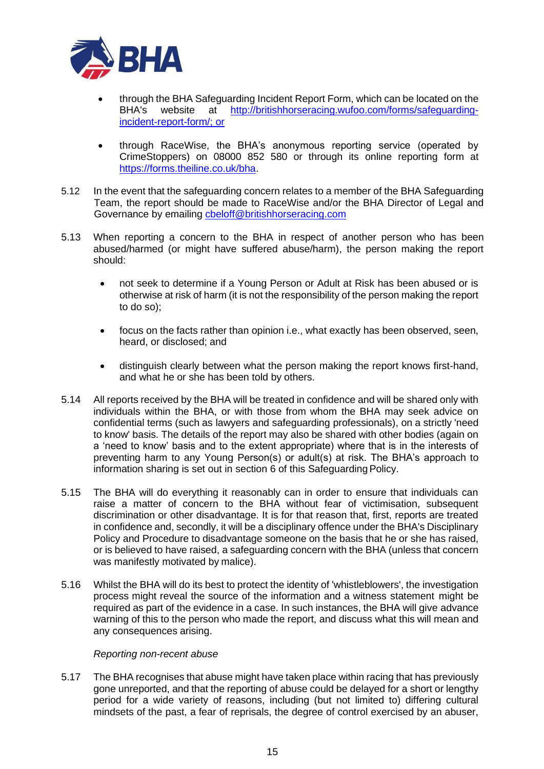

- through the BHA Safeguarding Incident Report Form, which can be located on the BHA's website at [http://britishhorseracing.wufoo.com/forms/safeguarding](http://britishhorseracing.wufoo.com/forms/safeguarding-incident-report-form/)[incident-report-form/;](http://britishhorseracing.wufoo.com/forms/safeguarding-incident-report-form/) or
- through RaceWise, the BHA's anonymous reporting service (operated by CrimeStoppers) on 08000 852 580 or through its online reporting form at [https://forms.theiline.co.uk/bha.](https://forms.theiline.co.uk/bha)
- 5.12 In the event that the safeguarding concern relates to a member of the BHA Safeguarding Team, the report should be made to RaceWise and/or the BHA Director of Legal and Governance by emailing [cbeloff@britishhorseracing.com](mailto:cbeloff@britishhorseracing.com)
- 5.13 When reporting a concern to the BHA in respect of another person who has been abused/harmed (or might have suffered abuse/harm), the person making the report should:
	- not seek to determine if a Young Person or Adult at Risk has been abused or is otherwise at risk of harm (it is not the responsibility of the person making the report to do so);
	- focus on the facts rather than opinion i.e., what exactly has been observed, seen, heard, or disclosed; and
	- distinguish clearly between what the person making the report knows first-hand, and what he or she has been told by others.
- 5.14 All reports received by the BHA will be treated in confidence and will be shared only with individuals within the BHA, or with those from whom the BHA may seek advice on confidential terms (such as lawyers and safeguarding professionals), on a strictly 'need to know' basis. The details of the report may also be shared with other bodies (again on a 'need to know' basis and to the extent appropriate) where that is in the interests of preventing harm to any Young Person(s) or adult(s) at risk. The BHA's approach to information sharing is set out in section 6 of this Safeguarding Policy.
- 5.15 The BHA will do everything it reasonably can in order to ensure that individuals can raise a matter of concern to the BHA without fear of victimisation, subsequent discrimination or other disadvantage. It is for that reason that, first, reports are treated in confidence and, secondly, it will be a disciplinary offence under the BHA's Disciplinary Policy and Procedure to disadvantage someone on the basis that he or she has raised, or is believed to have raised, a safeguarding concern with the BHA (unless that concern was manifestly motivated by malice).
- 5.16 Whilst the BHA will do its best to protect the identity of 'whistleblowers', the investigation process might reveal the source of the information and a witness statement might be required as part of the evidence in a case. In such instances, the BHA will give advance warning of this to the person who made the report, and discuss what this will mean and any consequences arising.

#### *Reporting non-recent abuse*

5.17 The BHA recognises that abuse might have taken place within racing that has previously gone unreported, and that the reporting of abuse could be delayed for a short or lengthy period for a wide variety of reasons, including (but not limited to) differing cultural mindsets of the past, a fear of reprisals, the degree of control exercised by an abuser,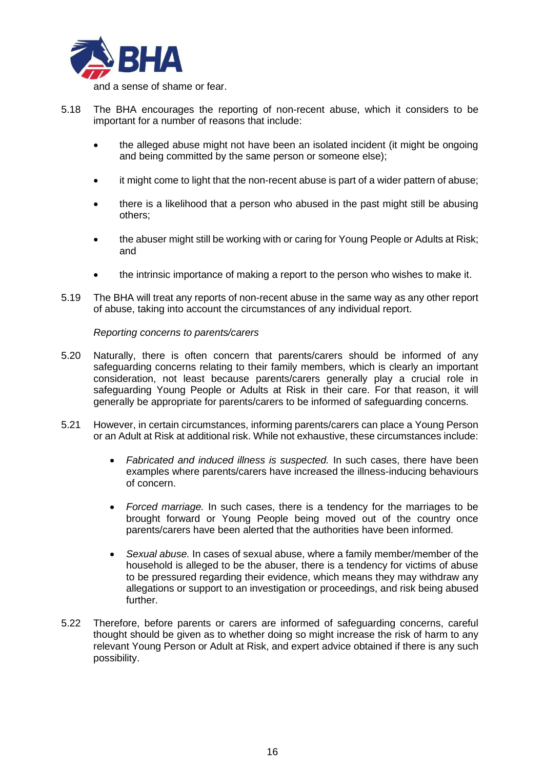

- 5.18 The BHA encourages the reporting of non-recent abuse, which it considers to be important for a number of reasons that include:
	- the alleged abuse might not have been an isolated incident (it might be ongoing and being committed by the same person or someone else);
	- it might come to light that the non-recent abuse is part of a wider pattern of abuse;
	- there is a likelihood that a person who abused in the past might still be abusing others;
	- the abuser might still be working with or caring for Young People or Adults at Risk; and
	- the intrinsic importance of making a report to the person who wishes to make it.
- 5.19 The BHA will treat any reports of non-recent abuse in the same way as any other report of abuse, taking into account the circumstances of any individual report.

*Reporting concerns to parents/carers*

- 5.20 Naturally, there is often concern that parents/carers should be informed of any safeguarding concerns relating to their family members, which is clearly an important consideration, not least because parents/carers generally play a crucial role in safeguarding Young People or Adults at Risk in their care. For that reason, it will generally be appropriate for parents/carers to be informed of safeguarding concerns.
- 5.21 However, in certain circumstances, informing parents/carers can place a Young Person or an Adult at Risk at additional risk. While not exhaustive, these circumstances include:
	- *Fabricated and induced illness is suspected.* In such cases, there have been examples where parents/carers have increased the illness-inducing behaviours of concern.
	- *Forced marriage.* In such cases, there is a tendency for the marriages to be brought forward or Young People being moved out of the country once parents/carers have been alerted that the authorities have been informed.
	- *Sexual abuse.* In cases of sexual abuse, where a family member/member of the household is alleged to be the abuser, there is a tendency for victims of abuse to be pressured regarding their evidence, which means they may withdraw any allegations or support to an investigation or proceedings, and risk being abused further.
- 5.22 Therefore, before parents or carers are informed of safeguarding concerns, careful thought should be given as to whether doing so might increase the risk of harm to any relevant Young Person or Adult at Risk, and expert advice obtained if there is any such possibility.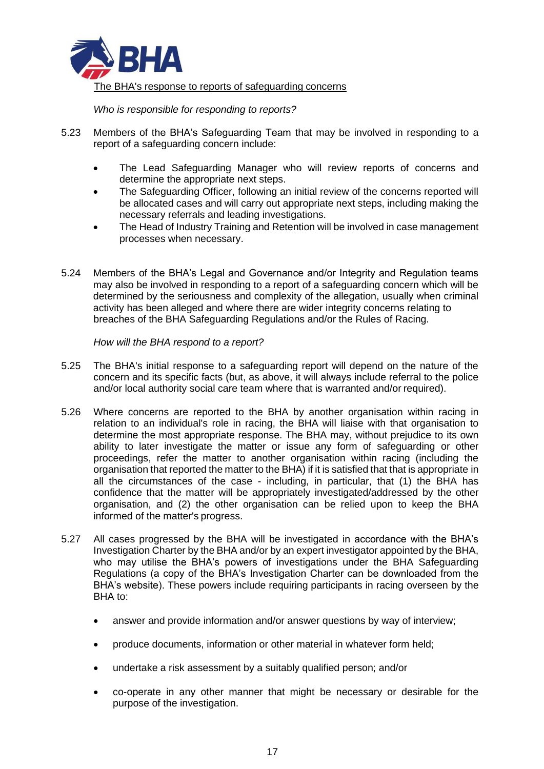

*Who is responsible for responding to reports?*

- 5.23 Members of the BHA's Safeguarding Team that may be involved in responding to a report of a safeguarding concern include:
	- The Lead Safeguarding Manager who will review reports of concerns and determine the appropriate next steps.
	- The Safeguarding Officer, following an initial review of the concerns reported will be allocated cases and will carry out appropriate next steps, including making the necessary referrals and leading investigations.
	- The Head of Industry Training and Retention will be involved in case management processes when necessary.
- 5.24 Members of the BHA's Legal and Governance and/or Integrity and Regulation teams may also be involved in responding to a report of a safeguarding concern which will be determined by the seriousness and complexity of the allegation, usually when criminal activity has been alleged and where there are wider integrity concerns relating to breaches of the BHA Safeguarding Regulations and/or the Rules of Racing.

*How will the BHA respond to a report?*

- 5.25 The BHA's initial response to a safeguarding report will depend on the nature of the concern and its specific facts (but, as above, it will always include referral to the police and/or local authority social care team where that is warranted and/or required).
- 5.26 Where concerns are reported to the BHA by another organisation within racing in relation to an individual's role in racing, the BHA will liaise with that organisation to determine the most appropriate response. The BHA may, without prejudice to its own ability to later investigate the matter or issue any form of safeguarding or other proceedings, refer the matter to another organisation within racing (including the organisation that reported the matter to the BHA) if it is satisfied that that is appropriate in all the circumstances of the case - including, in particular, that (1) the BHA has confidence that the matter will be appropriately investigated/addressed by the other organisation, and (2) the other organisation can be relied upon to keep the BHA informed of the matter's progress.
- 5.27 All cases progressed by the BHA will be investigated in accordance with the BHA's Investigation Charter by the BHA and/or by an expert investigator appointed by the BHA, who may utilise the BHA's powers of investigations under the BHA Safeguarding Regulations (a copy of the BHA's Investigation Charter can be downloaded from the BHA's website). These powers include requiring participants in racing overseen by the BHA to:
	- answer and provide information and/or answer questions by way of interview;
	- produce documents, information or other material in whatever form held;
	- undertake a risk assessment by a suitably qualified person; and/or
	- co-operate in any other manner that might be necessary or desirable for the purpose of the investigation.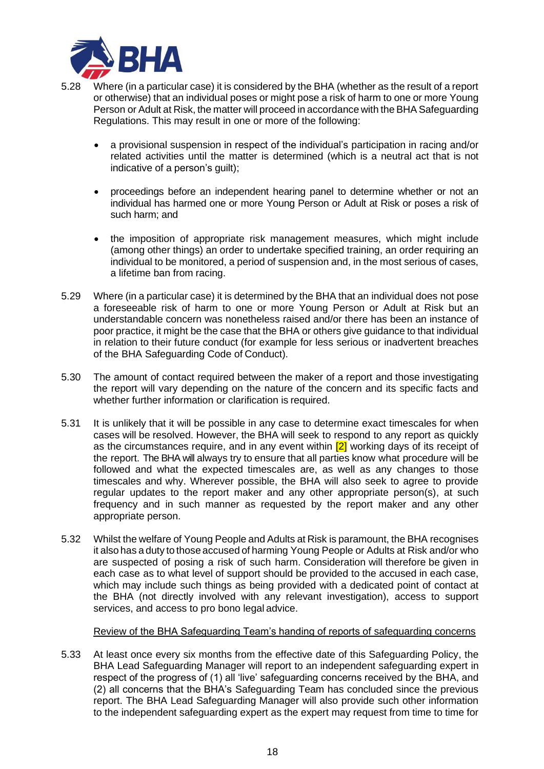

- 5.28 Where (in a particular case) it is considered by the BHA (whether as the result of a report or otherwise) that an individual poses or might pose a risk of harm to one or more Young Person or Adult at Risk, the matter will proceed in accordance with the BHA Safeguarding Regulations. This may result in one or more of the following:
	- a provisional suspension in respect of the individual's participation in racing and/or related activities until the matter is determined (which is a neutral act that is not indicative of a person's guilt);
	- proceedings before an independent hearing panel to determine whether or not an individual has harmed one or more Young Person or Adult at Risk or poses a risk of such harm; and
	- the imposition of appropriate risk management measures, which might include (among other things) an order to undertake specified training, an order requiring an individual to be monitored, a period of suspension and, in the most serious of cases, a lifetime ban from racing.
- 5.29 Where (in a particular case) it is determined by the BHA that an individual does not pose a foreseeable risk of harm to one or more Young Person or Adult at Risk but an understandable concern was nonetheless raised and/or there has been an instance of poor practice, it might be the case that the BHA or others give guidance to that individual in relation to their future conduct (for example for less serious or inadvertent breaches of the BHA Safeguarding Code of Conduct).
- 5.30 The amount of contact required between the maker of a report and those investigating the report will vary depending on the nature of the concern and its specific facts and whether further information or clarification is required.
- 5.31 It is unlikely that it will be possible in any case to determine exact timescales for when cases will be resolved. However, the BHA will seek to respond to any report as quickly as the circumstances require, and in any event within  $\boxed{2}$  working days of its receipt of the report. The BHA will always try to ensure that all parties know what procedure will be followed and what the expected timescales are, as well as any changes to those timescales and why. Wherever possible, the BHA will also seek to agree to provide regular updates to the report maker and any other appropriate person(s), at such frequency and in such manner as requested by the report maker and any other appropriate person.
- 5.32 Whilst the welfare of Young People and Adults at Risk is paramount, the BHA recognises it also has a duty to those accused of harming Young People or Adults at Risk and/or who are suspected of posing a risk of such harm. Consideration will therefore be given in each case as to what level of support should be provided to the accused in each case, which may include such things as being provided with a dedicated point of contact at the BHA (not directly involved with any relevant investigation), access to support services, and access to pro bono legal advice.

### Review of the BHA Safeguarding Team's handing of reports of safeguarding concerns

5.33 At least once every six months from the effective date of this Safeguarding Policy, the BHA Lead Safeguarding Manager will report to an independent safeguarding expert in respect of the progress of (1) all 'live' safeguarding concerns received by the BHA, and (2) all concerns that the BHA's Safeguarding Team has concluded since the previous report. The BHA Lead Safeguarding Manager will also provide such other information to the independent safeguarding expert as the expert may request from time to time for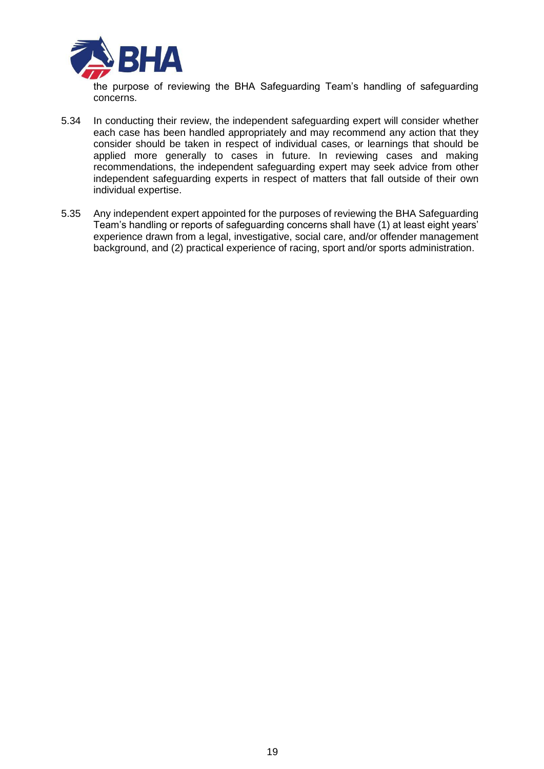

the purpose of reviewing the BHA Safeguarding Team's handling of safeguarding concerns.

- 5.34 In conducting their review, the independent safeguarding expert will consider whether each case has been handled appropriately and may recommend any action that they consider should be taken in respect of individual cases, or learnings that should be applied more generally to cases in future. In reviewing cases and making recommendations, the independent safeguarding expert may seek advice from other independent safeguarding experts in respect of matters that fall outside of their own individual expertise.
- 5.35 Any independent expert appointed for the purposes of reviewing the BHA Safeguarding Team's handling or reports of safeguarding concerns shall have (1) at least eight years' experience drawn from a legal, investigative, social care, and/or offender management background, and (2) practical experience of racing, sport and/or sports administration.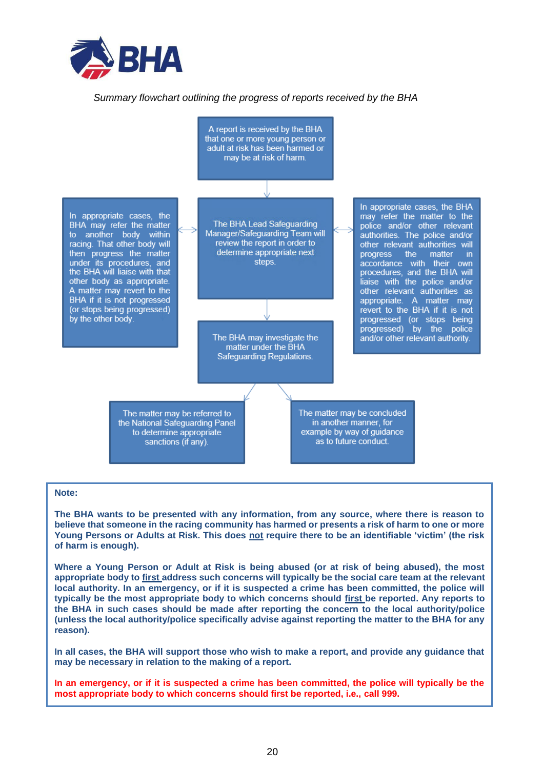

#### *Summary flowchart outlining the progress of reports received by the BHA*



#### **Note:**

**The BHA wants to be presented with any information, from any source, where there is reason to believe that someone in the racing community has harmed or presents a risk of harm to one or more Young Persons or Adults at Risk. This does not require there to be an identifiable 'victim' (the risk of harm is enough).** 

**Where a Young Person or Adult at Risk is being abused (or at risk of being abused), the most appropriate body to first address such concerns will typically be the social care team at the relevant local authority. In an emergency, or if it is suspected a crime has been committed, the police will typically be the most appropriate body to which concerns should first be reported. Any reports to the BHA in such cases should be made after reporting the concern to the local authority/police (unless the local authority/police specifically advise against reporting the matter to the BHA for any reason).**

**In all cases, the BHA will support those who wish to make a report, and provide any guidance that may be necessary in relation to the making of a report.**

**In an emergency, or if it is suspected a crime has been committed, the police will typically be the most appropriate body to which concerns should first be reported, i.e., call 999.**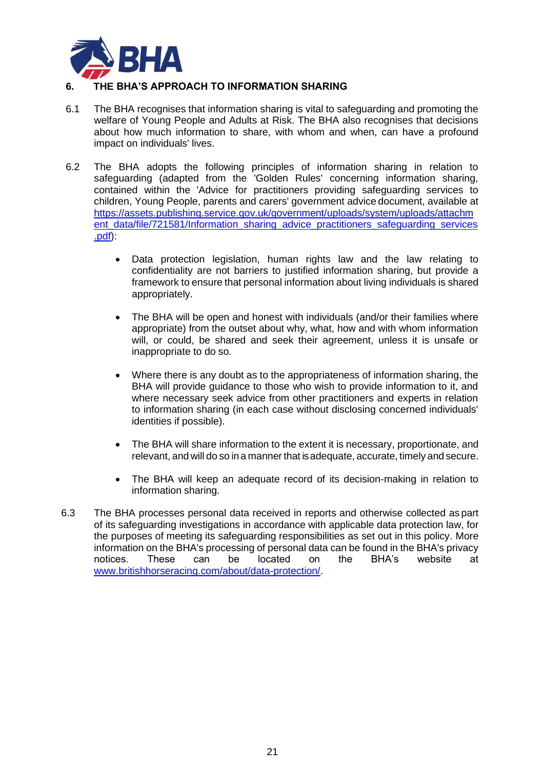

# **6. THE BHA'S APPROACH TO INFORMATION SHARING**

- 6.1 The BHA recognises that information sharing is vital to safeguarding and promoting the welfare of Young People and Adults at Risk. The BHA also recognises that decisions about how much information to share, with whom and when, can have a profound impact on individuals' lives.
- 6.2 The BHA adopts the following principles of information sharing in relation to safeguarding (adapted from the 'Golden Rules' concerning information sharing, contained within the 'Advice for practitioners providing safeguarding services to children, Young People, parents and carers' government advice document, available at [https://assets.publishing.service.gov.uk/government/uploads/system/uploads/attachm](https://assets.publishing.service.gov.uk/government/uploads/system/uploads/attachment_data/file/721581/Information_sharing_advice_practitioners_safeguarding_services.pdf) [ent\\_data/file/721581/Information\\_sharing\\_advice\\_practitioners\\_safeguarding\\_services](https://assets.publishing.service.gov.uk/government/uploads/system/uploads/attachment_data/file/721581/Information_sharing_advice_practitioners_safeguarding_services.pdf) [.pdf\)](https://assets.publishing.service.gov.uk/government/uploads/system/uploads/attachment_data/file/721581/Information_sharing_advice_practitioners_safeguarding_services.pdf):
	- Data protection legislation, human rights law and the law relating to confidentiality are not barriers to justified information sharing, but provide a framework to ensure that personal information about living individuals is shared appropriately.
	- The BHA will be open and honest with individuals (and/or their families where appropriate) from the outset about why, what, how and with whom information will, or could, be shared and seek their agreement, unless it is unsafe or inappropriate to do so.
	- Where there is any doubt as to the appropriateness of information sharing, the BHA will provide guidance to those who wish to provide information to it, and where necessary seek advice from other practitioners and experts in relation to information sharing (in each case without disclosing concerned individuals' identities if possible).
	- The BHA will share information to the extent it is necessary, proportionate, and relevant, and will do so in a manner that is adequate, accurate, timely and secure.
	- The BHA will keep an adequate record of its decision-making in relation to information sharing.
- 6.3 The BHA processes personal data received in reports and otherwise collected as part of its safeguarding investigations in accordance with applicable data protection law, for the purposes of meeting its safeguarding responsibilities as set out in this policy. More information on the BHA's processing of personal data can be found in the BHA's privacy notices. These can be located on the BHA's website at [www.britishhorseracing.com/about/data-protection/.](http://www.britishhorseracing.com/about/data-protection/)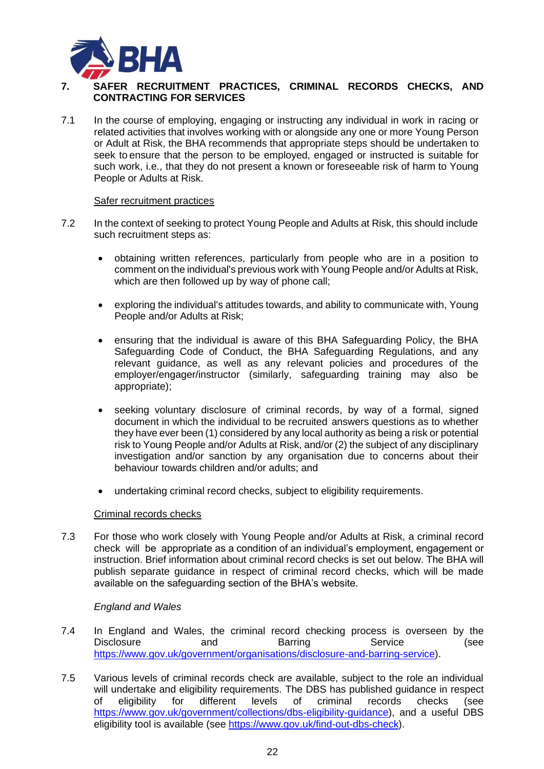

# **7. SAFER RECRUITMENT PRACTICES, CRIMINAL RECORDS CHECKS, AND CONTRACTING FOR SERVICES**

7.1 In the course of employing, engaging or instructing any individual in work in racing or related activities that involves working with or alongside any one or more Young Person or Adult at Risk, the BHA recommends that appropriate steps should be undertaken to seek to ensure that the person to be employed, engaged or instructed is suitable for such work, i.e., that they do not present a known or foreseeable risk of harm to Young People or Adults at Risk.

### Safer recruitment practices

- 7.2 In the context of seeking to protect Young People and Adults at Risk, this should include such recruitment steps as:
	- obtaining written references, particularly from people who are in a position to comment on the individual's previous work with Young People and/or Adults at Risk, which are then followed up by way of phone call;
	- exploring the individual's attitudes towards, and ability to communicate with, Young People and/or Adults at Risk;
	- ensuring that the individual is aware of this BHA Safeguarding Policy, the BHA Safeguarding Code of Conduct, the BHA Safeguarding Regulations, and any relevant guidance, as well as any relevant policies and procedures of the employer/engager/instructor (similarly, safeguarding training may also be appropriate);
	- seeking voluntary disclosure of criminal records, by way of a formal, signed document in which the individual to be recruited answers questions as to whether they have ever been (1) considered by any local authority as being a risk or potential risk to Young People and/or Adults at Risk, and/or (2) the subject of any disciplinary investigation and/or sanction by any organisation due to concerns about their behaviour towards children and/or adults; and
	- undertaking criminal record checks, subject to eligibility requirements.

#### Criminal records checks

7.3 For those who work closely with Young People and/or Adults at Risk, a criminal record check will be appropriate as a condition of an individual's employment, engagement or instruction. Brief information about criminal record checks is set out below. The BHA will publish separate guidance in respect of criminal record checks, which will be made available on the safeguarding section of the BHA's website.

### *England and Wales*

- 7.4 In England and Wales, the criminal record checking process is overseen by the Disclosure and Barring Service (see [https://www.gov.uk/government/organisations/disclosure-and-barring-service\)](https://www.gov.uk/government/organisations/disclosure-and-barring-service).
- 7.5 Various levels of criminal records check are available, subject to the role an individual will undertake and eligibility requirements. The DBS has published guidance in respect of eligibility for different levels of criminal records checks (see [https://www.gov.uk/government/collections/dbs-eligibility-guidance\)](https://www.gov.uk/government/collections/dbs-eligibility-guidance), and a useful DBS eligibility tool is available (see [https://www.gov.uk/find-out-dbs-check\)](https://www.gov.uk/find-out-dbs-check).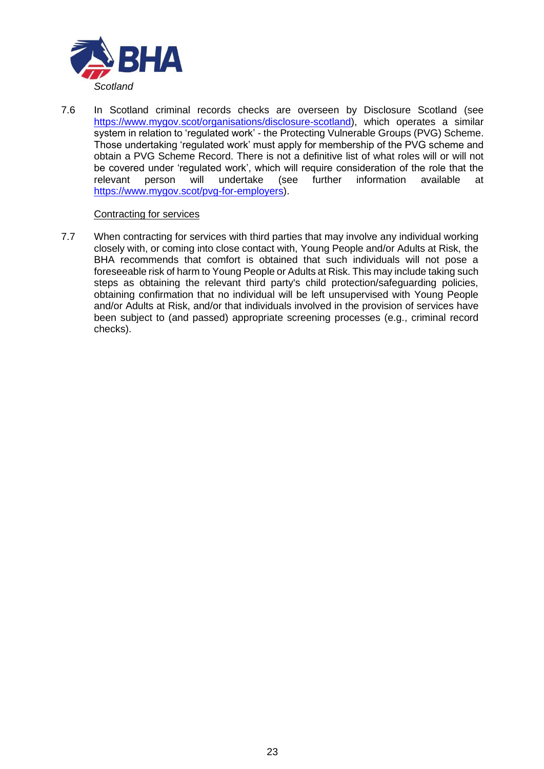

7.6 In Scotland criminal records checks are overseen by Disclosure Scotland (see [https://www.mygov.scot/organisations/disclosure-scotland\)](https://www.mygov.scot/organisations/disclosure-scotland), which operates a similar system in relation to 'regulated work' - the Protecting Vulnerable Groups (PVG) Scheme. Those undertaking 'regulated work' must apply for membership of the PVG scheme and obtain a PVG Scheme Record. There is not a definitive list of what roles will or will not be covered under 'regulated work', which will require consideration of the role that the<br>relevant person will undertake (see further information available at relevant person will undertake (see further information available at [https://www.mygov.scot/pvg-for-employers\)](https://www.mygov.scot/pvg-for-employers).

### Contracting for services

7.7 When contracting for services with third parties that may involve any individual working closely with, or coming into close contact with, Young People and/or Adults at Risk, the BHA recommends that comfort is obtained that such individuals will not pose a foreseeable risk of harm to Young People or Adults at Risk. This may include taking such steps as obtaining the relevant third party's child protection/safeguarding policies, obtaining confirmation that no individual will be left unsupervised with Young People and/or Adults at Risk, and/or that individuals involved in the provision of services have been subject to (and passed) appropriate screening processes (e.g., criminal record checks).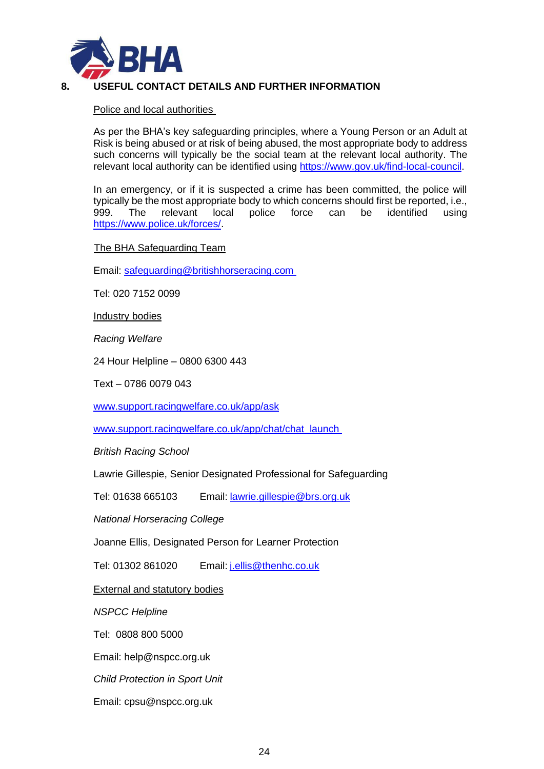

# **8. USEFUL CONTACT DETAILS AND FURTHER INFORMATION**

Police and local authorities

As per the BHA's key safeguarding principles, where a Young Person or an Adult at Risk is being abused or at risk of being abused, the most appropriate body to address such concerns will typically be the social team at the relevant local authority. The relevant local authority can be identified using [https://www.gov.uk/find-local-council.](https://www.gov.uk/find-local-council)

In an emergency, or if it is suspected a crime has been committed, the police will typically be the most appropriate body to which concerns should first be reported, i.e., 999. The relevant local police force can be identified using [https://www.police.uk/forces/.](https://www.police.uk/forces/)

### The BHA Safeguarding Team

Email: [safeguarding@britishhorseracing.com](mailto:safeguarding@britishhorseracing.com)

Tel: 020 7152 0099

Industry bodies

*Racing Welfare*

24 Hour Helpline – 0800 6300 443

Text – 0786 0079 043

[www.support.racingwelfare.co.uk/app/ask](http://www.support.racingwelfare.co.uk/app/ask)

[www.support.racingwelfare.co.uk/app/chat/chat\\_launch](http://www.support.racingwelfare.co.uk/app/chat/chat_launch)

*British Racing School*

Lawrie Gillespie, Senior Designated Professional for Safeguarding

Tel: 01638 665103 Email: [lawrie.gillespie@brs.org.uk](mailto:lawrie.gillespie@brs.org.uk)

*National Horseracing College*

Joanne Ellis, Designated Person for Learner Protection

Tel: 01302 861020 Email: [j.ellis@thenhc.co.uk](mailto:j.ellis@thenhc.co.uk)

**External and statutory bodies** 

*NSPCC Helpline*

Tel: 0808 800 5000

Email: [help@nspcc.org.uk](mailto:help@nspcc.org.uk)

*Child Protection in Sport Unit*

Email: [cpsu@nspcc.org.uk](mailto:cpsu@nspcc.org.uk)